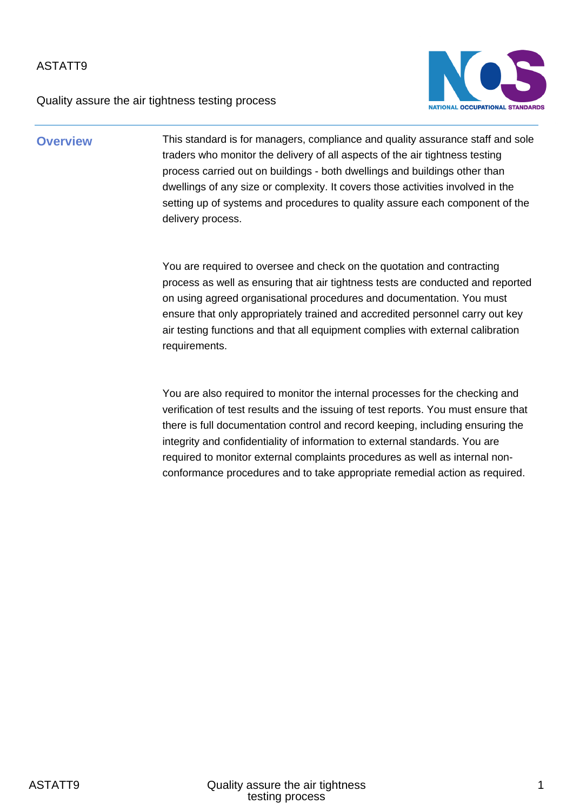Quality assure the air tightness testing process



**Overview** This standard is for managers, compliance and quality assurance staff and sole traders who monitor the delivery of all aspects of the air tightness testing process carried out on buildings - both dwellings and buildings other than dwellings of any size or complexity. It covers those activities involved in the setting up of systems and procedures to quality assure each component of the delivery process.

> You are required to oversee and check on the quotation and contracting process as well as ensuring that air tightness tests are conducted and reported on using agreed organisational procedures and documentation. You must ensure that only appropriately trained and accredited personnel carry out key air testing functions and that all equipment complies with external calibration requirements.

You are also required to monitor the internal processes for the checking and verification of test results and the issuing of test reports. You must ensure that there is full documentation control and record keeping, including ensuring the integrity and confidentiality of information to external standards. You are required to monitor external complaints procedures as well as internal nonconformance procedures and to take appropriate remedial action as required.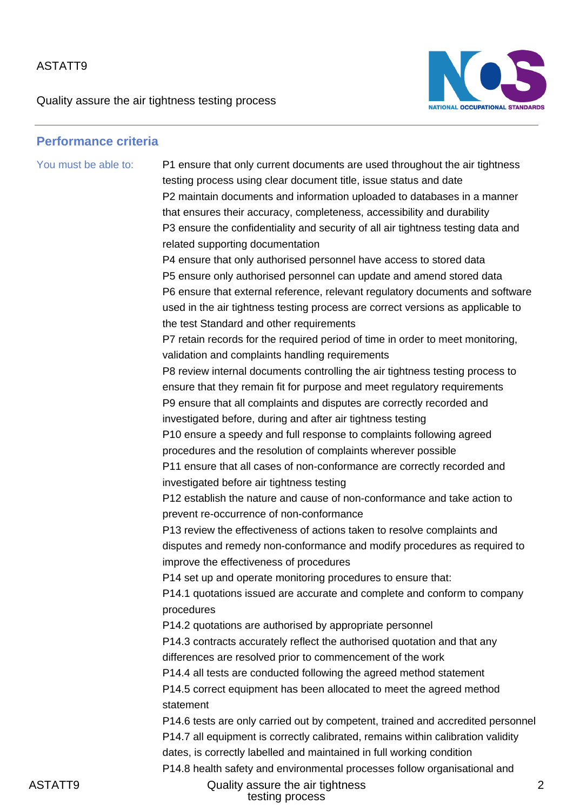Quality assure the air tightness testing process



#### **Performance criteria**

You must be able to: P1 ensure that only current documents are used throughout the air tightness

testing process using clear document title, issue status and date P2 maintain documents and information uploaded to databases in a manner that ensures their accuracy, completeness, accessibility and durability P3 ensure the confidentiality and security of all air tightness testing data and related supporting documentation P4 ensure that only authorised personnel have access to stored data P5 ensure only authorised personnel can update and amend stored data P6 ensure that external reference, relevant regulatory documents and software used in the air tightness testing process are correct versions as applicable to the test Standard and other requirements

P7 retain records for the required period of time in order to meet monitoring, validation and complaints handling requirements

P8 review internal documents controlling the air tightness testing process to ensure that they remain fit for purpose and meet regulatory requirements P9 ensure that all complaints and disputes are correctly recorded and investigated before, during and after air tightness testing

P10 ensure a speedy and full response to complaints following agreed procedures and the resolution of complaints wherever possible P11 ensure that all cases of non-conformance are correctly recorded and investigated before air tightness testing

P12 establish the nature and cause of non-conformance and take action to prevent re-occurrence of non-conformance

P13 review the effectiveness of actions taken to resolve complaints and disputes and remedy non-conformance and modify procedures as required to improve the effectiveness of procedures

P14 set up and operate monitoring procedures to ensure that:

P14.1 quotations issued are accurate and complete and conform to company procedures

P14.2 quotations are authorised by appropriate personnel P14.3 contracts accurately reflect the authorised quotation and that any differences are resolved prior to commencement of the work

P14.4 all tests are conducted following the agreed method statement

P14.5 correct equipment has been allocated to meet the agreed method statement

P14.6 tests are only carried out by competent, trained and accredited personnel P14.7 all equipment is correctly calibrated, remains within calibration validity dates, is correctly labelled and maintained in full working condition P14.8 health safety and environmental processes follow organisational and

ASTATT9 Quality assure the air tightness testing process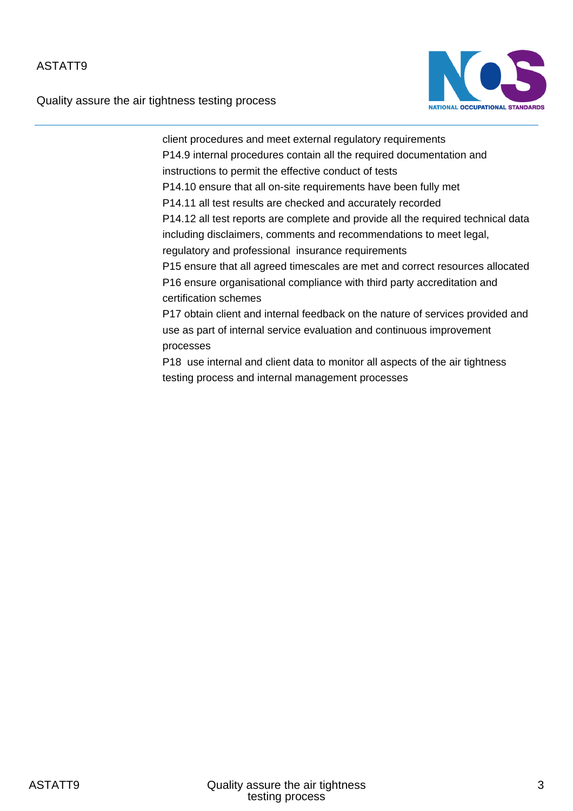Quality assure the air tightness testing process



client procedures and meet external regulatory requirements P14.9 internal procedures contain all the required documentation and instructions to permit the effective conduct of tests P14.10 ensure that all on-site requirements have been fully met P14.11 all test results are checked and accurately recorded P14.12 all test reports are complete and provide all the required technical data including disclaimers, comments and recommendations to meet legal, regulatory and professional insurance requirements P15 ensure that all agreed timescales are met and correct resources allocated P16 ensure organisational compliance with third party accreditation and certification schemes P17 obtain client and internal feedback on the nature of services provided and use as part of internal service evaluation and continuous improvement

processes

P18 use internal and client data to monitor all aspects of the air tightness testing process and internal management processes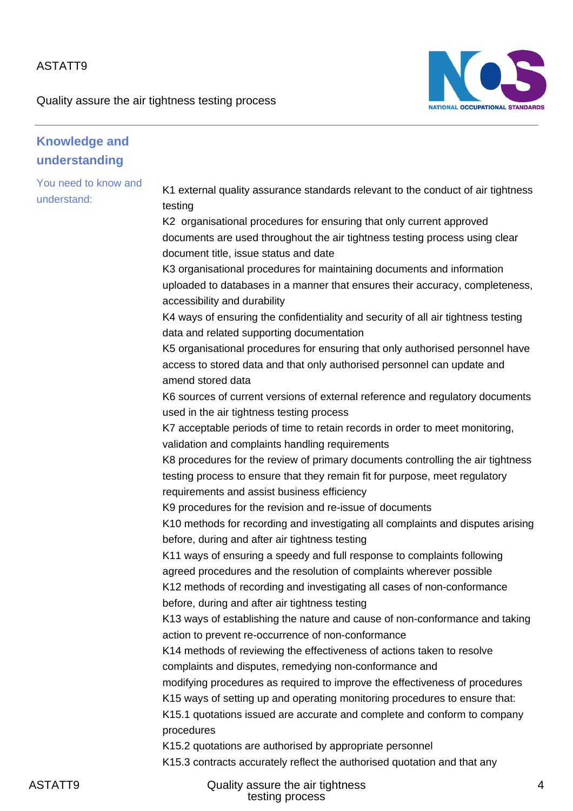Quality assure the air tightness testing process



| <b>Knowledge and</b>                |                                                                                                                                                                                                                                                                                                                                                                                                                                                                                                                                                                                                                                                                                                                                                                                                                                                                                                                                                                                                                                                                                                                                                                                                                                                                                                                                                                                                                                                                                                                                                                                                                                                                                                                           |
|-------------------------------------|---------------------------------------------------------------------------------------------------------------------------------------------------------------------------------------------------------------------------------------------------------------------------------------------------------------------------------------------------------------------------------------------------------------------------------------------------------------------------------------------------------------------------------------------------------------------------------------------------------------------------------------------------------------------------------------------------------------------------------------------------------------------------------------------------------------------------------------------------------------------------------------------------------------------------------------------------------------------------------------------------------------------------------------------------------------------------------------------------------------------------------------------------------------------------------------------------------------------------------------------------------------------------------------------------------------------------------------------------------------------------------------------------------------------------------------------------------------------------------------------------------------------------------------------------------------------------------------------------------------------------------------------------------------------------------------------------------------------------|
| understanding                       |                                                                                                                                                                                                                                                                                                                                                                                                                                                                                                                                                                                                                                                                                                                                                                                                                                                                                                                                                                                                                                                                                                                                                                                                                                                                                                                                                                                                                                                                                                                                                                                                                                                                                                                           |
| You need to know and<br>understand: | K1 external quality assurance standards relevant to the conduct of air tightness<br>testing<br>K2 organisational procedures for ensuring that only current approved<br>documents are used throughout the air tightness testing process using clear<br>document title, issue status and date<br>K3 organisational procedures for maintaining documents and information<br>uploaded to databases in a manner that ensures their accuracy, completeness,<br>accessibility and durability<br>K4 ways of ensuring the confidentiality and security of all air tightness testing<br>data and related supporting documentation<br>K5 organisational procedures for ensuring that only authorised personnel have<br>access to stored data and that only authorised personnel can update and<br>amend stored data<br>K6 sources of current versions of external reference and regulatory documents<br>used in the air tightness testing process<br>K7 acceptable periods of time to retain records in order to meet monitoring,<br>validation and complaints handling requirements<br>K8 procedures for the review of primary documents controlling the air tightness<br>testing process to ensure that they remain fit for purpose, meet regulatory<br>requirements and assist business efficiency<br>K9 procedures for the revision and re-issue of documents<br>K10 methods for recording and investigating all complaints and disputes arising<br>before, during and after air tightness testing<br>K11 ways of ensuring a speedy and full response to complaints following<br>agreed procedures and the resolution of complaints wherever possible<br>K12 methods of recording and investigating all cases of non-conformance |
|                                     | before, during and after air tightness testing<br>K13 ways of establishing the nature and cause of non-conformance and taking<br>action to prevent re-occurrence of non-conformance<br>K14 methods of reviewing the effectiveness of actions taken to resolve<br>complaints and disputes, remedying non-conformance and<br>modifying procedures as required to improve the effectiveness of procedures<br>K15 ways of setting up and operating monitoring procedures to ensure that:<br>K15.1 quotations issued are accurate and complete and conform to company<br>procedures                                                                                                                                                                                                                                                                                                                                                                                                                                                                                                                                                                                                                                                                                                                                                                                                                                                                                                                                                                                                                                                                                                                                            |
|                                     | K15.2 quotations are authorised by appropriate personnel<br>K15.3 contracts accurately reflect the authorised quotation and that any                                                                                                                                                                                                                                                                                                                                                                                                                                                                                                                                                                                                                                                                                                                                                                                                                                                                                                                                                                                                                                                                                                                                                                                                                                                                                                                                                                                                                                                                                                                                                                                      |

ASTATT9 Quality assure the air tightness testing process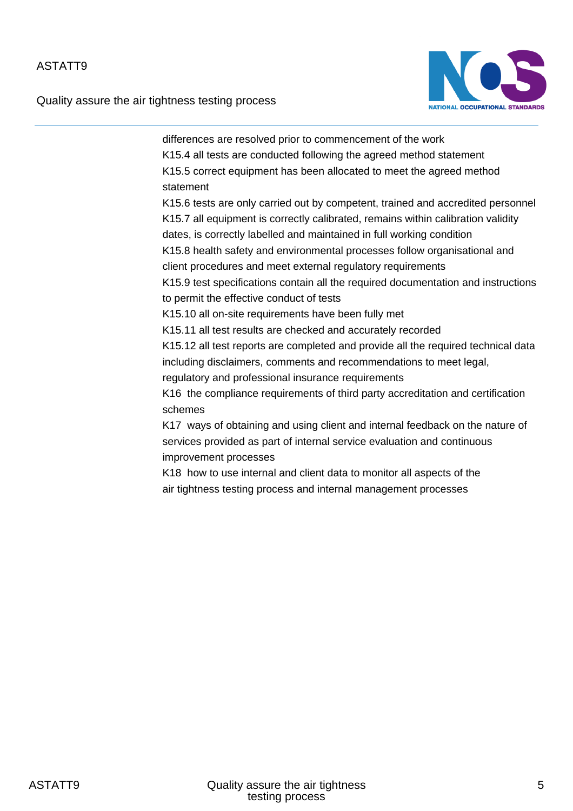Quality assure the air tightness testing process



differences are resolved prior to commencement of the work K15.4 all tests are conducted following the agreed method statement K15.5 correct equipment has been allocated to meet the agreed method statement K15.6 tests are only carried out by competent, trained and accredited personnel K15.7 all equipment is correctly calibrated, remains within calibration validity dates, is correctly labelled and maintained in full working condition K15.8 health safety and environmental processes follow organisational and client procedures and meet external regulatory requirements K15.9 test specifications contain all the required documentation and instructions to permit the effective conduct of tests K15.10 all on-site requirements have been fully met K15.11 all test results are checked and accurately recorded K15.12 all test reports are completed and provide all the required technical data including disclaimers, comments and recommendations to meet legal, regulatory and professional insurance requirements K16 the compliance requirements of third party accreditation and certification schemes K17 ways of obtaining and using client and internal feedback on the nature of services provided as part of internal service evaluation and continuous improvement processes K18 how to use internal and client data to monitor all aspects of the air tightness testing process and internal management processes